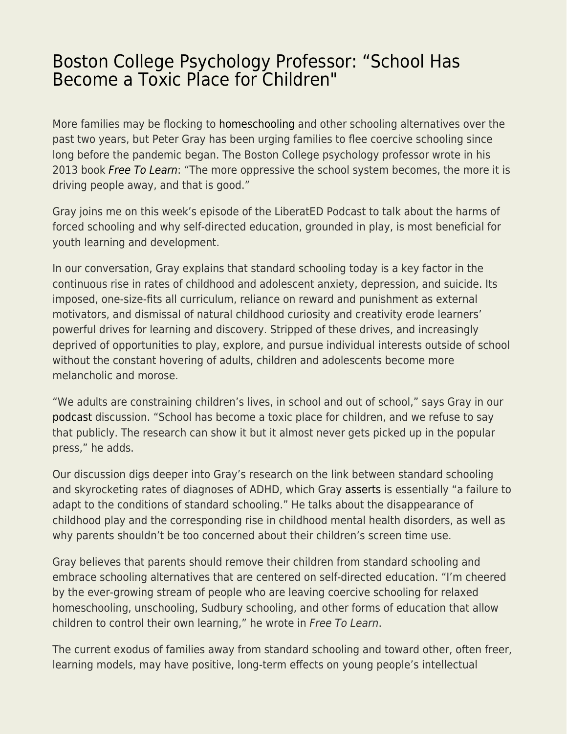## [Boston College Psychology Professor: "School Has](https://everything-voluntary.com/boston-college-psychology-professor-school-has-become-a-toxic-place-for-children) [Become a Toxic Place for Children"](https://everything-voluntary.com/boston-college-psychology-professor-school-has-become-a-toxic-place-for-children)

More families may be flocking to [homeschooling](https://fee.org/articles/associated-press-homeschooling-rate-remains-high-despite-school-reopenings/) and other schooling alternatives over the past two years, but Peter Gray has been urging families to flee coercive schooling since long before the pandemic began. The Boston College psychology professor wrote in his 2013 book [Free To Learn](https://www.amazon.com/Free-Learn-Unleashing-Instinct-Self-Reliant/dp/0465084990): "The more oppressive the school system becomes, the more it is driving people away, and that is good."

Gray joins me on this week's episode of the LiberatED Podcast to talk about the harms of forced schooling and why self-directed education, grounded in play, is most beneficial for youth learning and development.

In our conversation, Gray explains that standard schooling today is a key factor in the continuous rise in rates of childhood and adolescent anxiety, depression, and suicide. Its imposed, one-size-fits all curriculum, reliance on reward and punishment as external motivators, and dismissal of natural childhood curiosity and creativity erode learners' powerful drives for learning and discovery. Stripped of these drives, and increasingly deprived of opportunities to play, explore, and pursue individual interests outside of school without the constant hovering of adults, children and adolescents become more melancholic and morose.

"We adults are constraining children's lives, in school and out of school," says Gray in our [podcast](https://podcasts.apple.com/us/podcast/liberated-podcast/id1608978473?i=1000558035798) discussion. "School has become a toxic place for children, and we refuse to say that publicly. The research can show it but it almost never gets picked up in the popular press," he adds.

Our discussion digs deeper into Gray's research on the link between standard schooling and skyrocketing rates of diagnoses of ADHD, which Gray [asserts](https://www.psychologytoday.com/us/blog/freedom-learn/201007/adhd-school-assessing-normalcy-in-abnormal-environment) is essentially "a failure to adapt to the conditions of standard schooling." He talks about the disappearance of childhood play and the corresponding rise in childhood mental health disorders, as well as why parents shouldn't be too concerned about their children's screen time use.

Gray believes that parents should remove their children from standard schooling and embrace schooling alternatives that are centered on self-directed education. "I'm cheered by the ever-growing stream of people who are leaving coercive schooling for relaxed homeschooling, unschooling, Sudbury schooling, and other forms of education that allow children to control their own learning," he wrote in Free To Learn.

The current exodus of families away from standard schooling and toward other, often freer, learning models, may have positive, long-term effects on young people's intellectual